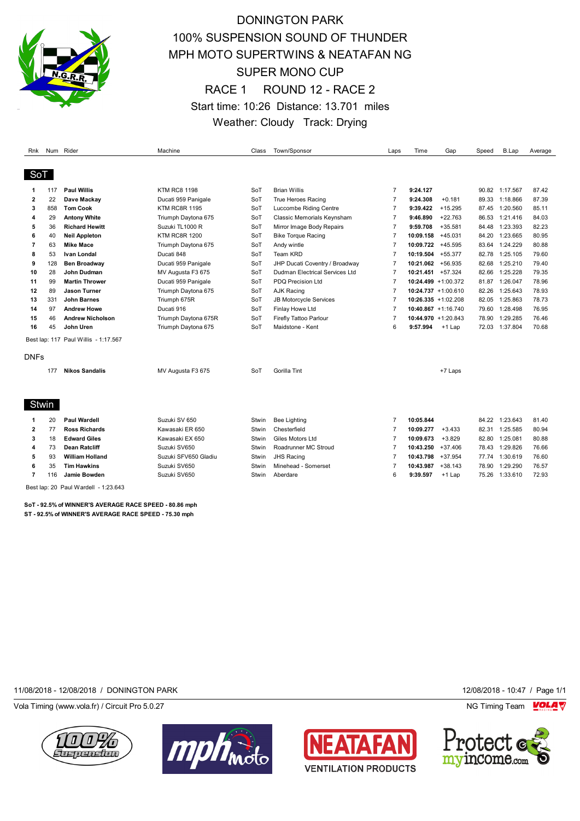

## DONINGTON PARK 100% SUSPENSION SOUND OF THUNDER MPH MOTO SUPERTWINS & NEATAFAN NG SUPER MONO CUP RACE 1 ROUND 12 - RACE 2 Start time: 10:26 Distance: 13.701 miles Weather: Cloudy Track: Drying

| Rnk                     |       | Num Rider                            | Machine              | Class | Town/Sponsor                   | Laps           | Time              | Gap                    | Speed | B.Lap          | Average |
|-------------------------|-------|--------------------------------------|----------------------|-------|--------------------------------|----------------|-------------------|------------------------|-------|----------------|---------|
|                         |       |                                      |                      |       |                                |                |                   |                        |       |                |         |
| SoT                     |       |                                      |                      |       |                                |                |                   |                        |       |                |         |
| 1                       | 117   | <b>Paul Willis</b>                   | <b>KTM RC8 1198</b>  | SoT   | <b>Brian Willis</b>            | $\overline{7}$ | 9:24.127          |                        |       | 90.82 1:17.567 | 87.42   |
| $\mathbf{2}$            | 22    | Dave Mackay                          | Ducati 959 Panigale  | SoT   | True Heroes Racing             | $\overline{7}$ | 9:24.308          | $+0.181$               | 89.33 | 1:18.866       | 87.39   |
| 3                       | 858   | <b>Tom Cook</b>                      | <b>KTM RC8R 1195</b> | SoT   | Luccombe Riding Centre         | $\overline{7}$ | 9:39.422          | $+15.295$              | 87.45 | 1:20.560       | 85.11   |
| 4                       | 29    | <b>Antony White</b>                  | Triumph Daytona 675  | SoT   | Classic Memorials Keynsham     | $\overline{7}$ | 9:46.890          | $+22.763$              | 86.53 | 1:21.416       | 84.03   |
| 5                       | 36    | <b>Richard Hewitt</b>                | Suzuki TL1000 R      | SoT   | Mirror Image Body Repairs      | $\overline{7}$ | 9:59.708          | $+35.581$              | 84.48 | 1:23.393       | 82.23   |
| 6                       | 40    | <b>Neil Appleton</b>                 | <b>KTM RC8R 1200</b> | SoT   | <b>Bike Torque Racing</b>      | $\overline{7}$ | 10:09.158         | $+45.031$              | 84.20 | 1:23.665       | 80.95   |
| 7                       | 63    | <b>Mike Mace</b>                     | Triumph Daytona 675  | SoT   | Andy wintle                    | $\overline{7}$ | 10:09.722         | $+45.595$              | 83.64 | 1:24.229       | 80.88   |
| 8                       | 53    | Ivan Londal                          | Ducati 848           | SoT   | <b>Team KRD</b>                | $\overline{7}$ | 10:19.504         | $+55.377$              | 82.78 | 1:25.105       | 79.60   |
| 9                       | 128   | <b>Ben Broadway</b>                  | Ducati 959 Panigale  | SoT   | JHP Ducati Coventry / Broadway | $\overline{7}$ | 10:21.062         | +56.935                | 82.68 | 1:25.210       | 79.40   |
| 10                      | 28    | John Dudman                          | MV Augusta F3 675    | SoT   | Dudman Electrical Services Ltd | $\overline{7}$ | 10:21.451 +57.324 |                        | 82.66 | 1:25.228       | 79.35   |
| 11                      | 99    | <b>Martin Thrower</b>                | Ducati 959 Panigale  | SoT   | <b>PDQ Precision Ltd</b>       | $\overline{7}$ |                   | $10:24.499 + 1:00.372$ | 81.87 | 1:26.047       | 78.96   |
| 12                      | 89    | <b>Jason Turner</b>                  | Triumph Daytona 675  | SoT   | <b>AJK Racing</b>              | $\overline{7}$ |                   | 10:24.737 +1:00.610    | 82.26 | 1:25.643       | 78.93   |
| 13                      | 331   | <b>John Barnes</b>                   | Triumph 675R         | SoT   | JB Motorcycle Services         | $\overline{7}$ |                   | $10:26.335 + 1:02.208$ | 82.05 | 1:25.863       | 78.73   |
| 14                      | 97    | <b>Andrew Howe</b>                   | Ducati 916           | SoT   | Finlay Howe Ltd                | $\overline{7}$ |                   | $10:40.867 + 1:16.740$ | 79.60 | 1:28.498       | 76.95   |
| 15                      | 46    | <b>Andrew Nicholson</b>              | Triumph Daytona 675R | SoT   | Firefly Tattoo Parlour         | $\overline{7}$ |                   | 10:44.970 +1:20.843    | 78.90 | 1:29.285       | 76.46   |
| 16                      | 45    | John Uren                            | Triumph Daytona 675  | SoT   | Maidstone - Kent               | 6              | 9:57.994          | $+1$ Lap               | 72.03 | 1:37.804       | 70.68   |
|                         |       | Best lap: 117 Paul Willis - 1:17.567 |                      |       |                                |                |                   |                        |       |                |         |
| <b>DNFs</b>             |       |                                      |                      |       |                                |                |                   |                        |       |                |         |
|                         | 177   | <b>Nikos Sandalis</b>                |                      | SoT   | Gorilla Tint                   |                |                   |                        |       |                |         |
|                         |       |                                      | MV Augusta F3 675    |       |                                |                |                   | +7 Laps                |       |                |         |
|                         |       |                                      |                      |       |                                |                |                   |                        |       |                |         |
|                         | Stwin |                                      |                      |       |                                |                |                   |                        |       |                |         |
| 1                       | 20    | <b>Paul Wardell</b>                  | Suzuki SV 650        | Stwin | <b>Bee Lighting</b>            | $\overline{7}$ | 10:05.844         |                        | 84.22 | 1:23.643       | 81.40   |
| $\overline{\mathbf{2}}$ | 77    | <b>Ross Richards</b>                 | Kawasaki ER 650      | Stwin | Chesterfield                   | $\overline{7}$ | 10:09.277         | $+3.433$               | 82.31 | 1:25.585       | 80.94   |
| 3                       | 18    | <b>Edward Giles</b>                  | Kawasaki EX 650      | Stwin | Giles Motors Ltd               | $\overline{7}$ | 10:09.673         | $+3.829$               | 82.80 | 1:25.081       | 80.88   |
| 4                       | 73    | <b>Dean Ratcliff</b>                 | Suzuki SV650         | Stwin | Roadrunner MC Stroud           | $\overline{7}$ | 10:43.250         | $+37.406$              | 78.43 | 1:29.826       | 76.66   |
| 5                       | 93    | <b>William Holland</b>               | Suzuki SFV650 Gladiu | Stwin | <b>JHS Racing</b>              | $\overline{7}$ | 10:43.798         | $+37.954$              | 77.74 | 1:30.619       | 76.60   |
| 6                       | 35    | <b>Tim Hawkins</b>                   | Suzuki SV650         | Stwin | Minehead - Somerset            | $\overline{7}$ | 10:43.987         | $+38.143$              | 78.90 | 1:29.290       | 76.57   |
| $\overline{7}$          | 116   | Jamie Bowden                         | Suzuki SV650         | Stwin | Aberdare                       | 6              | 9:39.597          | +1 Lap                 | 75.26 | 1:33.610       | 72.93   |
|                         |       | Best lap: 20 Paul Wardell - 1:23.643 |                      |       |                                |                |                   |                        |       |                |         |

**SoT - 92.5% of WINNER'S AVERAGE RACE SPEED - 80.86 mph ST - 92.5% of WINNER'S AVERAGE RACE SPEED - 75.30 mph**

11/08/2018 - 12/08/2018 / DONINGTON PARK 12/08/2018 - 10:47 / Page 1/1

Vola Timing (www.vola.fr) / Circuit Pro 5.0.27 NG Timing Team NG Timing Team NG Timing Team NG Timing Team NG







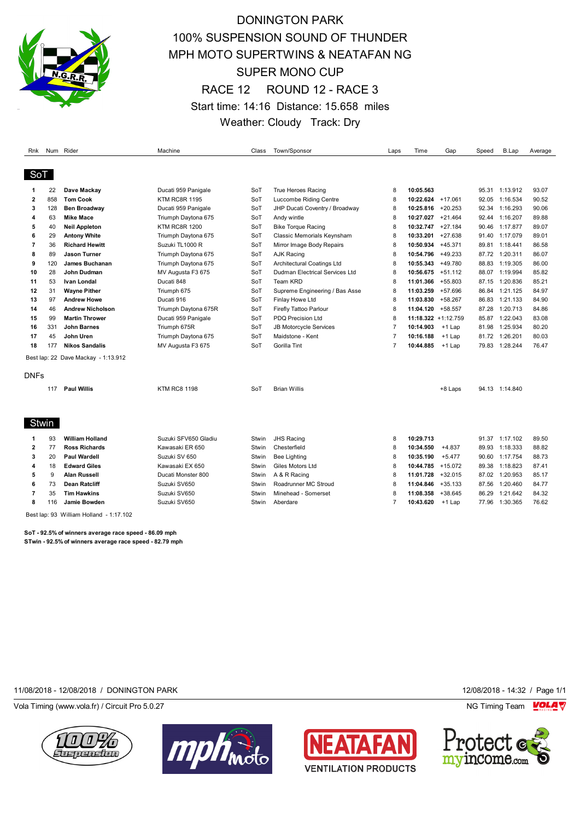

## DONINGTON PARK 100% SUSPENSION SOUND OF THUNDER MPH MOTO SUPERTWINS & NEATAFAN NG SUPER MONO CUP RACE 12 ROUND 12 - RACE 3 Start time: 14:16 Distance: 15.658 miles Weather: Cloudy Track: Dry

| Rnk            |     | Num Rider                                       | Machine              | Class | Town/Sponsor                          | Laps           | Time                | Gap       | Speed | <b>B.Lap</b>   | Average |
|----------------|-----|-------------------------------------------------|----------------------|-------|---------------------------------------|----------------|---------------------|-----------|-------|----------------|---------|
|                |     |                                                 |                      |       |                                       |                |                     |           |       |                |         |
| SoT            |     |                                                 |                      |       |                                       |                |                     |           |       |                |         |
| 1              | 22  | Dave Mackay                                     | Ducati 959 Panigale  | SoT   | True Heroes Racing                    | 8              | 10:05.563           |           |       | 95.31 1:13.912 | 93.07   |
| $\mathbf{2}$   | 858 | <b>Tom Cook</b>                                 | <b>KTM RC8R 1195</b> | SoT   | Luccombe Riding Centre                | 8              | 10:22.624 +17.061   |           | 92.05 | 1:16.534       | 90.52   |
| 3              | 128 | <b>Ben Broadway</b>                             | Ducati 959 Panigale  | SoT   | JHP Ducati Coventry / Broadway        | 8              | 10:25.816           | $+20.253$ | 92.34 | 1:16.293       | 90.06   |
| 4              | 63  | <b>Mike Mace</b>                                | Triumph Daytona 675  | SoT   | Andy wintle                           | 8              | 10:27.027           | $+21.464$ | 92.44 | 1:16.207       | 89.88   |
| 5              | 40  | <b>Neil Appleton</b>                            | <b>KTM RC8R 1200</b> | SoT   | <b>Bike Torque Racing</b>             | 8              | 10:32.747           | $+27.184$ | 90.46 | 1:17.877       | 89.07   |
| 6              | 29  | <b>Antony White</b>                             | Triumph Daytona 675  | SoT   | Classic Memorials Keynsham            | 8              | 10:33.201           | +27.638   | 91.40 | 1:17.079       | 89.01   |
| 7              | 36  | <b>Richard Hewitt</b>                           | Suzuki TL1000 R      | SoT   | Mirror Image Body Repairs             | 8              | 10:50.934           | $+45.371$ |       | 89.81 1:18.441 | 86.58   |
| 8              | 89  | <b>Jason Turner</b>                             | Triumph Daytona 675  | SoT   | <b>AJK Racing</b>                     | 8              | 10:54.796           | $+49.233$ |       | 87.72 1:20.311 | 86.07   |
| 9              | 120 | <b>James Buchanan</b>                           | Triumph Daytona 675  | SoT   | Architectural Coatings Ltd            | 8              | 10:55.343           | +49.780   | 88.83 | 1:19.305       | 86.00   |
| 10             | 28  | John Dudman                                     | MV Augusta F3 675    | SoT   | <b>Dudman Electrical Services Ltd</b> | 8              | 10:56.675           | $+51.112$ | 88.07 | 1:19.994       | 85.82   |
| 11             | 53  | Ivan Londal                                     | Ducati 848           | SoT   | Team KRD                              | 8              | 11:01.366           | $+55.803$ | 87.15 | 1:20.836       | 85.21   |
| 12             | 31  | <b>Wayne Pither</b>                             | Triumph 675          | SoT   | Supreme Engineering / Bas Asse        | 8              | 11:03.259           | +57.696   | 86.84 | 1:21.125       | 84.97   |
| 13             | 97  | <b>Andrew Howe</b>                              | Ducati 916           | SoT   | Finlay Howe Ltd                       | 8              | 11:03.830           | +58.267   | 86.83 | 1:21.133       | 84.90   |
| 14             | 46  | <b>Andrew Nicholson</b>                         | Triumph Daytona 675R | SoT   | Firefly Tattoo Parlour                | 8              | 11:04.120 +58.557   |           | 87.28 | 1:20.713       | 84.86   |
| 15             | 99  | <b>Martin Thrower</b>                           | Ducati 959 Panigale  | SoT   | PDQ Precision Ltd                     | 8              | 11:18.322 +1:12.759 |           | 85.87 | 1:22.043       | 83.08   |
| 16             | 331 | <b>John Barnes</b>                              | Triumph 675R         | SoT   | <b>JB Motorcycle Services</b>         | 7              | 10:14.903           | $+1$ Lap  | 81.98 | 1:25.934       | 80.20   |
| 17             | 45  | John Uren                                       | Triumph Daytona 675  | SoT   | Maidstone - Kent                      | $\overline{7}$ | 10:16.188           | $+1$ Lap  | 81.72 | 1:26.201       | 80.03   |
| 18             | 177 | <b>Nikos Sandalis</b>                           | MV Augusta F3 675    | SoT   | Gorilla Tint                          | $\overline{7}$ | 10:44.885           | $+1$ Lap  | 79.83 | 1:28.244       | 76.47   |
|                |     | Best lap: 22 Dave Mackay - 1:13.912             |                      |       |                                       |                |                     |           |       |                |         |
|                |     |                                                 |                      |       |                                       |                |                     |           |       |                |         |
| <b>DNFs</b>    |     |                                                 |                      |       |                                       |                |                     |           |       |                |         |
|                | 117 | <b>Paul Willis</b>                              | <b>KTM RC8 1198</b>  | SoT   | <b>Brian Willis</b>                   |                |                     | +8 Laps   |       | 94.13 1:14.840 |         |
|                |     |                                                 |                      |       |                                       |                |                     |           |       |                |         |
|                |     |                                                 |                      |       |                                       |                |                     |           |       |                |         |
| Stwin          |     |                                                 |                      |       |                                       |                |                     |           |       |                |         |
| 1              | 93  | <b>William Holland</b>                          | Suzuki SFV650 Gladiu | Stwin | <b>JHS Racing</b>                     | 8              | 10:29.713           |           |       | 91.37 1:17.102 | 89.50   |
| $\overline{2}$ | 77  | <b>Ross Richards</b>                            | Kawasaki ER 650      | Stwin | Chesterfield                          | 8              | 10:34.550           | $+4.837$  | 89.93 | 1:18.333       | 88.82   |
| 3              | 20  | <b>Paul Wardell</b>                             | Suzuki SV 650        | Stwin | <b>Bee Lighting</b>                   | 8              | 10:35.190           | $+5.477$  |       | 90.60 1:17.754 | 88.73   |
| 4              | 18  | <b>Edward Giles</b>                             | Kawasaki EX 650      | Stwin | Giles Motors Ltd                      | 8              | 10:44.785 +15.072   |           | 89.38 | 1:18.823       | 87.41   |
| 5              | 9   | <b>Alan Russell</b>                             | Ducati Monster 800   | Stwin | A & R Racing                          | 8              | 11:01.728           | $+32.015$ | 87.02 | 1:20.953       | 85.17   |
| 6              | 73  | <b>Dean Ratcliff</b>                            | Suzuki SV650         | Stwin | Roadrunner MC Stroud                  | 8              | 11:04.846           | $+35.133$ | 87.56 | 1:20.460       | 84.77   |
| 7              | 35  | <b>Tim Hawkins</b>                              | Suzuki SV650         | Stwin | Minehead - Somerset                   | 8              | 11:08.358           | $+38.645$ | 86.29 | 1:21.642       | 84.32   |
| 8              | 116 | Jamie Bowden                                    | Suzuki SV650         | Stwin | Aberdare                              | $\overline{7}$ | 10:43.620           | $+1$ Lap  | 77.96 | 1:30.365       | 76.62   |
|                |     | $\cdot$ $\cdot$ $\cdot$ $\cdot$ $\cdot$ $\cdot$ |                      |       |                                       |                |                     |           |       |                |         |

Best lap: 93 William Holland - 1:17.102

**SoT - 92.5% of winners average race speed - 86.09 mph STwin - 92.5% of winners average race speed - 82.79 mph**

11/08/2018 - 12/08/2018 / DONINGTON PARK 12/08/2018 - 14:32 / Page 1/1

Vola Timing (www.vola.fr) / Circuit Pro 5.0.27 **NG Timing Team Monet Constructs** NG Timing Team Monet Constructs







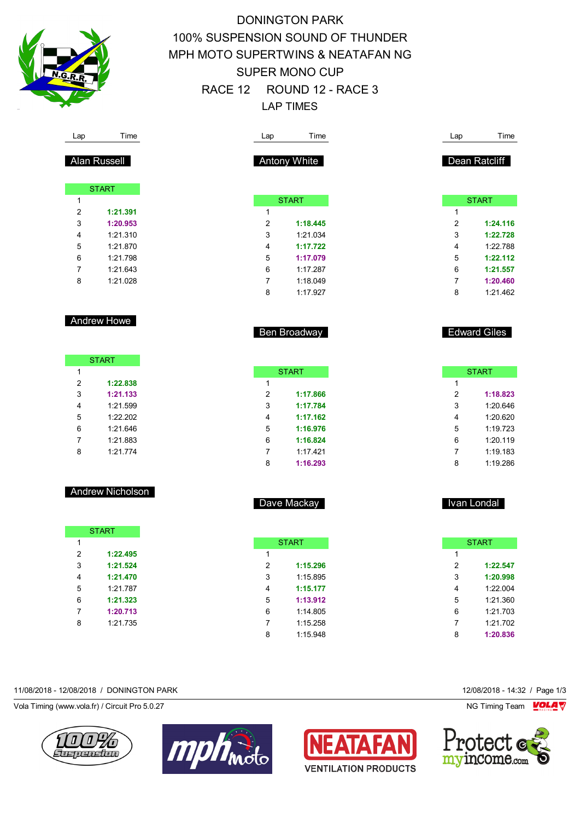

# DONINGTON PARK 100% SUSPENSION SOUND OF THUNDER MPH MOTO SUPERTWINS & NEATAFAN NG SUPER MONO CUP RACE 12 ROUND 12 - RACE 3 LAP TIMES

| Lap | Time         | Lap |                     | Time     |  | Lap            | Time                |
|-----|--------------|-----|---------------------|----------|--|----------------|---------------------|
|     | Alan Russell |     | <b>Antony White</b> |          |  |                | Dean Ratcliff       |
|     | <b>START</b> |     |                     |          |  |                |                     |
| 1   |              |     | <b>START</b>        |          |  |                | <b>START</b>        |
| 2   | 1:21.391     | 1   |                     |          |  | 1              |                     |
| 3   | 1:20.953     | 2   |                     | 1:18.445 |  | $\overline{2}$ | 1:24.116            |
| 4   | 1:21.310     | 3   |                     | 1:21.034 |  | 3              | 1:22.728            |
| 5   | 1:21.870     | 4   |                     | 1:17.722 |  | 4              | 1:22.788            |
| 6   | 1:21.798     | 5   |                     | 1:17.079 |  | 5              | 1:22.112            |
| 7   | 1:21.643     | 6   |                     | 1:17.287 |  | 6              | 1:21.557            |
| 8   | 1:21.028     | 7   |                     | 1:18.049 |  | 7              | 1:20.460            |
|     |              | 8   |                     | 1:17.927 |  | 8              | 1:21.462            |
|     | Andrew Howe  |     |                     |          |  |                |                     |
|     |              |     | Ben Broadway        |          |  |                | <b>Edward Giles</b> |
|     |              |     |                     |          |  |                |                     |

Dave Mackay

|   | <b>START</b> |
|---|--------------|
| 1 |              |
| 2 | 1:17.866     |
| 3 | 1:17.784     |
| 4 | 1:17.162     |
| 5 | 1:16.976     |
| 6 | 1:16.824     |
| 7 | 1:17.421     |
| 8 | 1:16.293     |

START

 **1:22.838 1:21.133** 1:21.599 1:22.202 1:21.646 1:21.883 1:21.774

|   | <b>START</b> |  |
|---|--------------|--|
| 1 |              |  |
| 2 | 1:22.495     |  |
| 3 | 1:21.524     |  |
| 4 | 1:21.470     |  |
| 5 | 1:21.787     |  |
| 6 | 1:21.323     |  |
| 7 | 1:20.713     |  |
| ጸ | 1:21.735     |  |

|   | <b>START</b> |
|---|--------------|
| 1 |              |
| 2 | 1:15.296     |
| 3 | 1:15.895     |
| 4 | 1:15.177     |
| 5 | 1:13.912     |
| 6 | 1:14.805     |
| 7 | 1:15.258     |
| 8 | 1:15.948     |

#### 11/08/2018 - 12/08/2018 / DONINGTON PARK 12/08/2018 - 14:32 / Page 1/3

Vola Timing (www.vola.fr) / Circuit Pro 5.0.27 **NG Timing Team MOLA View Area** NG Timing Team MOLA View Area NG Timing Team MOLA View Area NG Timing Team MOLA View Area NG Timing Team MOLA View Area NG Timing Team MOLA Vie









Ivan Londal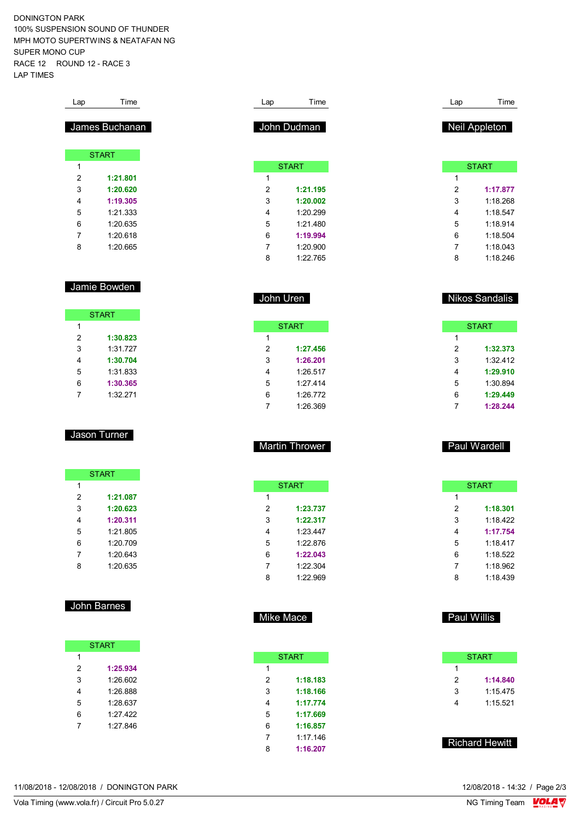DONINGTON PARK 100% SUSPENSION SOUND OF THUNDER MPH MOTO SUPERTWINS & NEATAFAN NG SUPER MONO CUP RACE 12 ROUND 12 - RACE 3 LAP TIMES

| Lap                     | Time           |                                             | Time<br>Lap                  |
|-------------------------|----------------|---------------------------------------------|------------------------------|
|                         |                |                                             |                              |
|                         | James Buchanan | John Dudman                                 | Neil Appleton                |
|                         |                |                                             |                              |
|                         | <b>START</b>   |                                             |                              |
| 1                       |                | <b>START</b>                                | <b>START</b>                 |
| $\overline{\mathbf{c}}$ | 1:21.801       | 1                                           | 1                            |
| 3                       | 1:20.620       | 2<br>1:21.195                               | 2<br>1:17.877                |
| 4                       | 1:19.305       | 3<br>1:20.002                               | 3<br>1:18.268                |
| 5                       | 1:21.333       | 4<br>1:20.299                               | 4<br>1:18.547                |
| 6                       | 1:20.635       | 5<br>1:21.480                               | 5<br>1:18.914                |
| 7                       | 1:20.618       | 6<br>1:19.994                               | 6<br>1:18.504                |
| 8                       | 1:20.665       | 7<br>1:20.900                               | 7<br>1:18.043                |
|                         |                | 8<br>1:22.765                               | 8<br>1:18.246                |
|                         |                |                                             |                              |
|                         | Jamie Bowden   | John Uren                                   | <b>Nikos Sandalis</b>        |
|                         | <b>START</b>   |                                             |                              |
| $\mathbf{1}$            |                | <b>START</b>                                | <b>START</b>                 |
| 2                       | 1:30.823       | $\mathbf{1}$                                | $\mathbf{1}$                 |
| 3                       | 1:31.727       | 2<br>1:27.456                               | 2<br>1:32.373                |
| 4                       | 1:30.704       | 3<br>1:26.201                               | 3<br>1:32.412                |
| 5                       | 1:31.833       | 1:26.517<br>4                               | 4<br>1:29.910                |
| 6                       | 1:30.365       | 5<br>1:27.414                               | 5<br>1:30.894                |
| 7                       | 1:32.271       | 6<br>1:26.772                               | 6<br>1:29.449                |
|                         |                | $\overline{7}$<br>1:26.369                  | $\overline{7}$<br>1:28.244   |
|                         | Jason Turner   |                                             |                              |
|                         |                | <b>Martin Thrower</b>                       | Paul Wardell                 |
|                         |                |                                             |                              |
| 1                       | <b>START</b>   | <b>START</b>                                | <b>START</b>                 |
| 2                       | 1:21.087       | 1                                           | 1                            |
| 3                       | 1:20.623       | 2<br>1:23.737                               | 2<br>1:18.301                |
| 4                       | 1:20.311       | 3<br>1:22.317                               | 3<br>1:18.422                |
| 5                       | 1:21.805       | 1:23.447<br>4                               | 4<br>1:17.754                |
| 6                       | 1:20.709       | 5<br>1:22.876                               | 5<br>1:18.417                |
| $\overline{7}$          | 1:20.643       | 6<br>1:22.043                               | 6<br>1:18.522                |
| 8                       | 1:20.635       | 7<br>1:22.304                               | $\overline{7}$<br>1:18.962   |
|                         |                | 8<br>1:22.969                               | 8<br>1:18.439                |
|                         |                |                                             |                              |
|                         |                |                                             | <b>Paul Willis</b>           |
|                         | John Barnes    | Mike Mace                                   |                              |
|                         |                |                                             |                              |
|                         | <b>START</b>   |                                             |                              |
| 1<br>$\mathbf 2$        | 1:25.934       | <b>START</b><br>1                           | <b>START</b><br>$\mathbf{1}$ |
|                         | 1:26.602       | 1:18.183                                    | $\overline{c}$<br>1:14.840   |
| 3                       |                | $\sqrt{2}$                                  | 3                            |
| $\overline{\mathbf{4}}$ | 1:26.888       | 3<br>1:18.166<br>4<br>1:17.774              | 1:15.475<br>4                |
| 5                       | 1:28.637       |                                             | 1:15.521                     |
| 6                       | 1:27.422       | 5<br>1:17.669                               |                              |
| $\overline{7}$          | 1:27.846       | 6<br>1:16.857<br>$\overline{7}$<br>1:17.146 | <b>Richard Hewitt</b>        |

11/08/2018 - 12/08/2018 / DONINGTON PARK